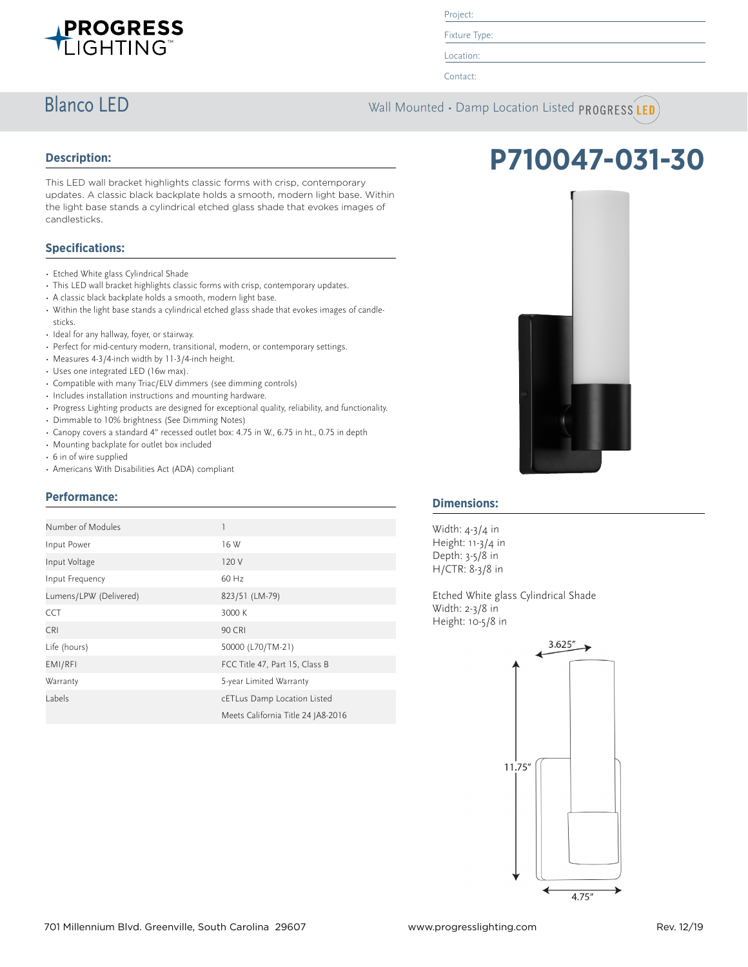

Project:

Fixture Type: Location:

Contact:

**Blanco LED** Wall Mounted • Damp Location Listed PROGRESS LED

## **Description:**

This LED wall bracket highlights classic forms with crisp, contemporary updates. A classic black backplate holds a smooth, modern light base. Within the light base stands a cylindrical etched glass shade that evokes images of candlesticks.

# **Specifications:**

- Etched White glass Cylindrical Shade
- This LED wall bracket highlights classic forms with crisp, contemporary updates.
- A classic black backplate holds a smooth, modern light base.
- Within the light base stands a cylindrical etched glass shade that evokes images of candlesticks.
- Ideal for any hallway, foyer, or stairway.
- Perfect for mid-century modern, transitional, modern, or contemporary settings.
- Measures 4-3/4-inch width by 11-3/4-inch height.
- Uses one integrated LED (16w max).
- Compatible with many Triac/ELV dimmers (see dimming controls)
- Includes installation instructions and mounting hardware.
- Progress Lighting products are designed for exceptional quality, reliability, and functionality.
- Dimmable to 10% brightness (See Dimming Notes)
- Canopy covers a standard 4" recessed outlet box: 4.75 in W., 6.75 in ht., 0.75 in depth
- Mounting backplate for outlet box included
- 6 in of wire supplied
- Americans With Disabilities Act (ADA) compliant

## **Performance:**

| Number of Modules      | 1                                  |
|------------------------|------------------------------------|
| Input Power            | 16 W                               |
| Input Voltage          | 120 V                              |
| Input Frequency        | $60$ Hz                            |
| Lumens/LPW (Delivered) | 823/51 (LM-79)                     |
| <b>CCT</b>             | 3000 K                             |
| <b>CRI</b>             | <b>90 CRI</b>                      |
| Life (hours)           | 50000 (L70/TM-21)                  |
| EMI/RFI                | FCC Title 47, Part 15, Class B     |
| Warranty               | 5-year Limited Warranty            |
| Labels                 | cETLus Damp Location Listed        |
|                        | Meets California Title 24 JA8-2016 |



**P710047-031-30**

## **Dimensions:**

Width: 4-3/4 in Height: 11-3/4 in Depth: 3-5/8 in H/CTR: 8-3/8 in

Etched White glass Cylindrical Shade Width: 2-3/8 in Height: 10-5/8 in